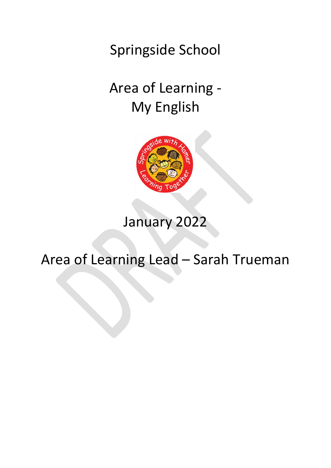Springside School

# Area of Learning - My English



## January 2022

## Area of Learning Lead – Sarah Trueman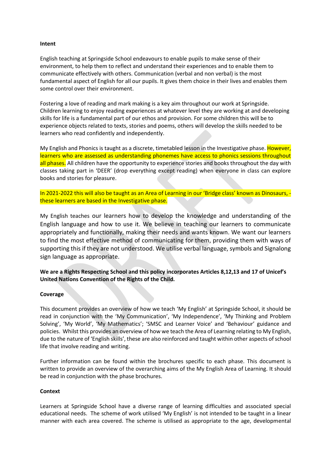#### **Intent**

English teaching at Springside School endeavours to enable pupils to make sense of their environment, to help them to reflect and understand their experiences and to enable them to communicate effectively with others. Communication (verbal and non verbal) is the most fundamental aspect of English for all our pupils. It gives them choice in their lives and enables them some control over their environment.

Fostering a love of reading and mark making is a key aim throughout our work at Springside. Children learning to enjoy reading experiences at whatever level they are working at and developing skills for life is a fundamental part of our ethos and provision. For some children this will be to experience objects related to texts, stories and poems, others will develop the skills needed to be learners who read confidently and independently.

My English and Phonics is taught as a discrete, timetabled lesson in the Investigative phase. However, learners who are assessed as understanding phonemes have access to phonics sessions throughout all phases. All children have the opportunity to experience stories and books throughout the day with classes taking part in 'DEER' (drop everything except reading) when everyone in class can explore books and stories for pleasure.

In 2021-2022 this will also be taught as an Area of Learning in our 'Bridge class' known as Dinosaurs, these learners are based in the Investigative phase.

My English teaches our learners how to develop the knowledge and understanding of the English language and how to use it. We believe in teaching our learners to communicate appropriately and functionally, making their needs and wants known. We want our learners to find the most effective method of communicating for them, providing them with ways of supporting this if they are not understood. We utilise verbal language, symbols and Signalong sign language as appropriate.

**We are a Rights Respecting School and this policy incorporates Articles 8,12,13 and 17 of Unicef's United Nations Convention of the Rights of the Child.**

#### **Coverage**

This document provides an overview of how we teach 'My English' at Springside School, it should be read in conjunction with the 'My Communication', 'My Independence', 'My Thinking and Problem Solving', 'My World', 'My Mathematics'; 'SMSC and Learner Voice' and 'Behaviour' guidance and policies. Whilst this provides an overview of how we teach the Area of Learning relating to My English, due to the nature of 'English skills', these are also reinforced and taught within other aspects of school life that involve reading and writing.

Further information can be found within the brochures specific to each phase. This document is written to provide an overview of the overarching aims of the My English Area of Learning. It should be read in conjunction with the phase brochures.

#### **Context**

Learners at Springside School have a diverse range of learning difficulties and associated special educational needs. The scheme of work utilised 'My English' is not intended to be taught in a linear manner with each area covered. The scheme is utilised as appropriate to the age, developmental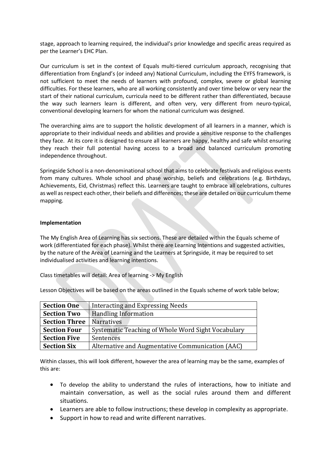stage, approach to learning required, the individual's prior knowledge and specific areas required as per the Learner's EHC Plan.

Our curriculum is set in the context of Equals multi-tiered curriculum approach, recognising that differentiation from England's (or indeed any) National Curriculum, including the EYFS framework, is not sufficient to meet the needs of learners with profound, complex, severe or global learning difficulties. For these learners, who are all working consistently and over time below or very near the start of their national curriculum, curricula need to be different rather than differentiated, because the way such learners learn is different, and often very, very different from neuro-typical, conventional developing learners for whom the national curriculum was designed.

The overarching aims are to support the holistic development of all learners in a manner, which is appropriate to their individual needs and abilities and provide a sensitive response to the challenges they face. At its core it is designed to ensure all learners are happy, healthy and safe whilst ensuring they reach their full potential having access to a broad and balanced curriculum promoting independence throughout.

Springside School is a non-denominational school that aims to celebrate festivals and religious events from many cultures. Whole school and phase worship, beliefs and celebrations (e.g. Birthdays, Achievements, Eid, Christmas) reflect this. Learners are taught to embrace all celebrations, cultures as well as respect each other, their beliefs and differences; these are detailed on our curriculum theme mapping.

### **Implementation**

The My English Area of Learning has six sections. These are detailed within the Equals scheme of work (differentiated for each phase). Whilst there are Learning Intentions and suggested activities, by the nature of the Area of Learning and the Learners at Springside, it may be required to set individualised activities and learning intentions.

Class timetables will detail: Area of learning -> My English

Lesson Objectives will be based on the areas outlined in the Equals scheme of work table below;

| <b>Section One</b>   | Interacting and Expressing Needs                   |
|----------------------|----------------------------------------------------|
| <b>Section Two</b>   | <b>Handling Information</b>                        |
| <b>Section Three</b> | <b>Narratives</b>                                  |
| <b>Section Four</b>  | Systematic Teaching of Whole Word Sight Vocabulary |
| <b>Section Five</b>  | Sentences                                          |
| <b>Section Six</b>   | Alternative and Augmentative Communication (AAC)   |

Within classes, this will look different, however the area of learning may be the same, examples of this are:

- To develop the ability to understand the rules of interactions, how to initiate and maintain conversation, as well as the social rules around them and different situations.
- Learners are able to follow instructions; these develop in complexity as appropriate.
- Support in how to read and write different narratives.